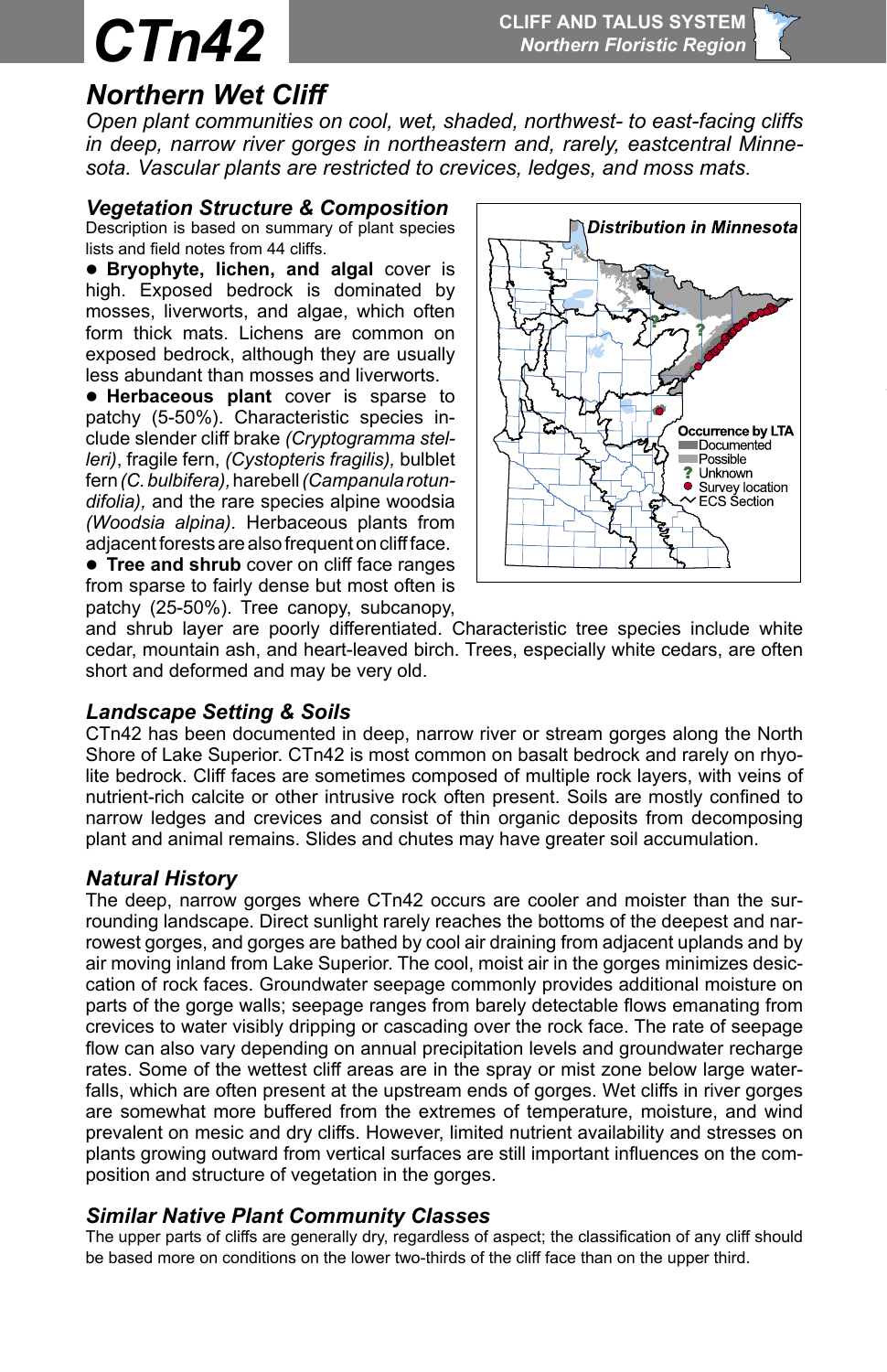# *Northern Wet Cliff*

*Open plant communities on cool, wet, shaded, northwest- to east-facing cliffs in deep, narrow river gorges in northeastern and, rarely, eastcentral Minnesota. Vascular plants are restricted to crevices, ledges, and moss mats*.

# *Vegetation Structure & Composition*

Description is based on summary of plant species lists and field notes from 44 cliffs.

**• Bryophyte, lichen, and algal cover is** high. Exposed bedrock is dominated by mosses, liverworts, and algae, which often form thick mats. Lichens are common on exposed bedrock, although they are usually less abundant than mosses and liverworts.

**e Herbaceous plant** cover is sparse to patchy (5-50%). Characteristic species include slender cliff brake *(Cryptogramma stelleri)*, fragile fern, *(Cystopteris fragilis),* bulblet fern *(C. bulbifera),* harebell *(Campanula rotundifolia),* and the rare species alpine woodsia *(Woodsia alpina).* Herbaceous plants from adjacent forests are also frequent on cliff face.

**• Tree and shrub** cover on cliff face ranges from sparse to fairly dense but most often is patchy (25-50%). Tree canopy, subcanopy,



and shrub layer are poorly differentiated. Characteristic tree species include white cedar, mountain ash, and heart-leaved birch. Trees, especially white cedars, are often short and deformed and may be very old.

# *Landscape Setting & Soils*

CTn42 has been documented in deep, narrow river or stream gorges along the North Shore of Lake Superior. CTn42 is most common on basalt bedrock and rarely on rhyolite bedrock. Cliff faces are sometimes composed of multiple rock layers, with veins of nutrient-rich calcite or other intrusive rock often present. Soils are mostly confined to narrow ledges and crevices and consist of thin organic deposits from decomposing plant and animal remains. Slides and chutes may have greater soil accumulation.

# *Natural History*

prevalent on mesic and dry cliffs. However, limited nutrient availability and stresses on The deep, narrow gorges where CTn42 occurs are cooler and moister than the surrounding landscape. Direct sunlight rarely reaches the bottoms of the deepest and narrowest gorges, and gorges are bathed by cool air draining from adjacent uplands and by air moving inland from Lake Superior. The cool, moist air in the gorges minimizes desiccation of rock faces. Groundwater seepage commonly provides additional moisture on parts of the gorge walls; seepage ranges from barely detectable flows emanating from crevices to water visibly dripping or cascading over the rock face. The rate of seepage flow can also vary depending on annual precipitation levels and groundwater recharge rates. Some of the wettest cliff areas are in the spray or mist zone below large waterfalls, which are often present at the upstream ends of gorges. Wet cliffs in river gorges are somewhat more buffered from the extremes of temperature, moisture, and wind plants growing outward from vertical surfaces are still important influences on the composition and structure of vegetation in the gorges.

# *Similar Native Plant Community Classes*

The upper parts of cliffs are generally dry, regardless of aspect; the classification of any cliff should be based more on conditions on the lower two-thirds of the cliff face than on the upper third.